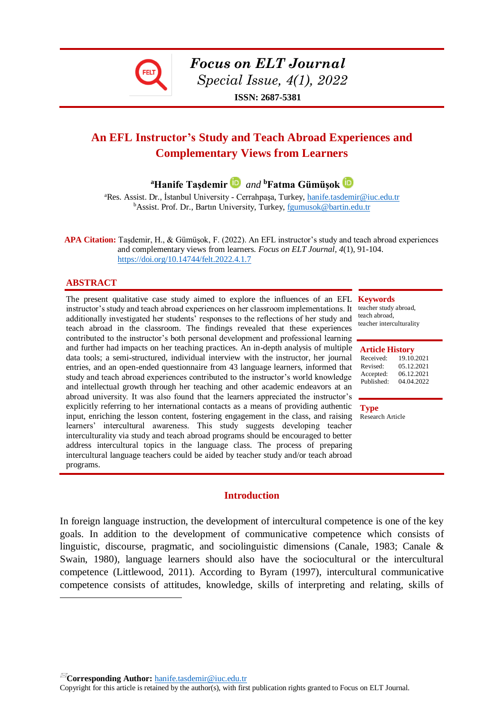*Focus on ELT Journal*

 *Special Issue, 4(1), 2022*

**ISSN: 2687-5381**

# **An EFL Instructor's Study and Teach Abroad Experiences and Complementary Views from Learners**

**<sup>a</sup>Hanife Taşdemir** *and* **<sup>b</sup>Fatma Gümüşok**

<sup>a</sup>Res. Assist. Dr., İstanbul University - Cerrahpaşa, Turkey, [hanife.tasdemir@iuc.edu.tr](mailto:hanife.tasdemir@iuc.edu.tr) <sup>b</sup>Assist. Prof. Dr., Bartın University, Turkey, [fgumusok@bartin.edu.tr](mailto:fgumusok@bartin.edu.tr)

**APA Citation:** Taşdemir, H., & Gümüşok, F. (2022). An EFL instructor's study and teach abroad experiences and complementary views from learners. *Focus on ELT Journal, 4*(1), 91-104. <https://doi.org/10.14744/felt.2022.4.1.7>

#### **ABSTRACT**

 $\overline{a}$ 

The present qualitative case study aimed to explore the influences of an EFL **Keywords** instructor's study and teach abroad experiences on her classroom implementations. It additionally investigated her students' responses to the reflections of her study and teach abroad in the classroom. The findings revealed that these experiences contributed to the instructor's both personal development and professional learning and further had impacts on her teaching practices. An in-depth analysis of multiple data tools; a semi-structured, individual interview with the instructor, her journal entries, and an open-ended questionnaire from 43 language learners, informed that study and teach abroad experiences contributed to the instructor's world knowledge and intellectual growth through her teaching and other academic endeavors at an abroad university. It was also found that the learners appreciated the instructor's explicitly referring to her international contacts as a means of providing authentic **Type** input, enriching the lesson content, fostering engagement in the class, and raising Research Article learners' intercultural awareness. This study suggests developing teacher interculturality via study and teach abroad programs should be encouraged to better address intercultural topics in the language class. The process of preparing intercultural language teachers could be aided by teacher study and/or teach abroad programs.

# teacher study abroad,

teach abroad, teacher interculturality

| <b>Article History</b> |            |
|------------------------|------------|
| Received:              | 19.10.2021 |
| Revised:               | 05.12.2021 |
| Accepted:              | 06.12.2021 |
| Published:             | 04.04.2022 |

## **Introduction**

In foreign language instruction, the development of intercultural competence is one of the key goals. In addition to the development of communicative competence which consists of linguistic, discourse, pragmatic, and sociolinguistic dimensions (Canale, 1983; Canale & Swain, 1980), language learners should also have the sociocultural or the intercultural competence (Littlewood, 2011). According to Byram (1997), intercultural communicative competence consists of attitudes, knowledge, skills of interpreting and relating, skills of

**Corresponding Author:** [hanife.tasdemir@iuc.edu.tr](mailto:hanife.tasdemir@iuc.edu.tr)

Copyright for this article is retained by the author(s), with first publication rights granted to Focus on ELT Journal.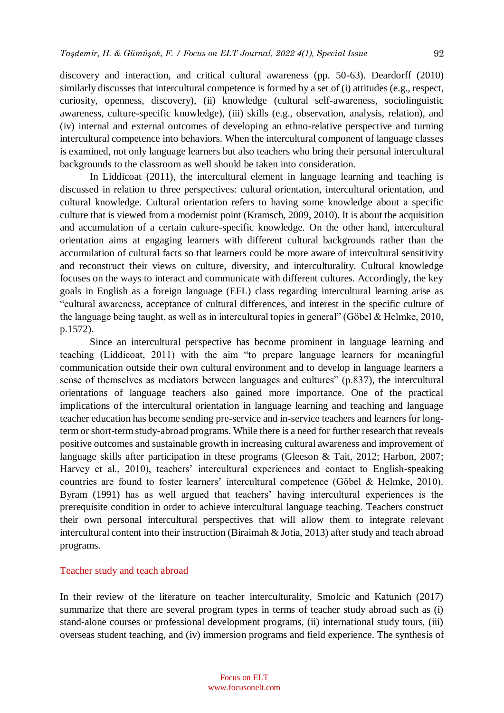discovery and interaction, and critical cultural awareness (pp. 50-63). Deardorff (2010) similarly discusses that intercultural competence is formed by a set of (i) attitudes (e.g., respect, curiosity, openness, discovery), (ii) knowledge (cultural self-awareness, sociolinguistic awareness, culture-specific knowledge), (iii) skills (e.g., observation, analysis, relation), and (iv) internal and external outcomes of developing an ethno-relative perspective and turning intercultural competence into behaviors. When the intercultural component of language classes is examined, not only language learners but also teachers who bring their personal intercultural backgrounds to the classroom as well should be taken into consideration.

In Liddicoat (2011), the intercultural element in language learning and teaching is discussed in relation to three perspectives: cultural orientation, intercultural orientation, and cultural knowledge. Cultural orientation refers to having some knowledge about a specific culture that is viewed from a modernist point (Kramsch, 2009, 2010). It is about the acquisition and accumulation of a certain culture-specific knowledge. On the other hand, intercultural orientation aims at engaging learners with different cultural backgrounds rather than the accumulation of cultural facts so that learners could be more aware of intercultural sensitivity and reconstruct their views on culture, diversity, and interculturality. Cultural knowledge focuses on the ways to interact and communicate with different cultures. Accordingly, the key goals in English as a foreign language (EFL) class regarding intercultural learning arise as "cultural awareness, acceptance of cultural differences, and interest in the specific culture of the language being taught, as well as in intercultural topics in general" (Göbel & Helmke, 2010, p.1572).

Since an intercultural perspective has become prominent in language learning and teaching (Liddicoat, 2011) with the aim "to prepare language learners for meaningful communication outside their own cultural environment and to develop in language learners a sense of themselves as mediators between languages and cultures" (p.837), the intercultural orientations of language teachers also gained more importance. One of the practical implications of the intercultural orientation in language learning and teaching and language teacher education has become sending pre-service and in-service teachers and learners for longterm or short-term study-abroad programs. While there is a need for further research that reveals positive outcomes and sustainable growth in increasing cultural awareness and improvement of language skills after participation in these programs (Gleeson & Tait, 2012; Harbon, 2007; Harvey et al., 2010), teachers' intercultural experiences and contact to English-speaking countries are found to foster learners' intercultural competence (Göbel & Helmke, 2010). Byram (1991) has as well argued that teachers' having intercultural experiences is the prerequisite condition in order to achieve intercultural language teaching. Teachers construct their own personal intercultural perspectives that will allow them to integrate relevant intercultural content into their instruction (Biraimah & Jotia, 2013) after study and teach abroad programs.

#### Teacher study and teach abroad

In their review of the literature on teacher interculturality, Smolcic and Katunich (2017) summarize that there are several program types in terms of teacher study abroad such as (i) stand-alone courses or professional development programs, (ii) international study tours, (iii) overseas student teaching, and (iv) immersion programs and field experience. The synthesis of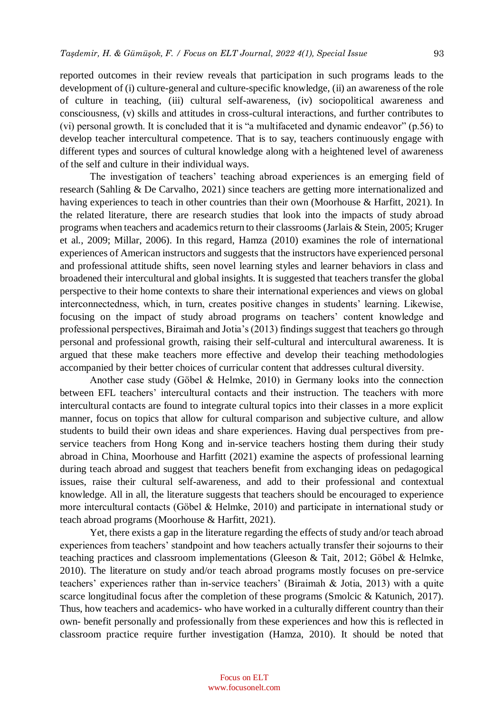reported outcomes in their review reveals that participation in such programs leads to the development of (i) culture-general and culture-specific knowledge, (ii) an awareness of the role of culture in teaching, (iii) cultural self-awareness, (iv) sociopolitical awareness and consciousness, (v) skills and attitudes in cross-cultural interactions, and further contributes to (vi) personal growth. It is concluded that it is "a multifaceted and dynamic endeavor" (p.56) to develop teacher intercultural competence. That is to say, teachers continuously engage with different types and sources of cultural knowledge along with a heightened level of awareness of the self and culture in their individual ways.

The investigation of teachers' teaching abroad experiences is an emerging field of research (Sahling & De Carvalho, 2021) since teachers are getting more internationalized and having experiences to teach in other countries than their own (Moorhouse & Harfitt, 2021). In the related literature, there are research studies that look into the impacts of study abroad programs when teachers and academics return to their classrooms (Jarlais & Stein, 2005; Kruger et al., 2009; Millar, 2006). In this regard, Hamza (2010) examines the role of international experiences of American instructors and suggests that the instructors have experienced personal and professional attitude shifts, seen novel learning styles and learner behaviors in class and broadened their intercultural and global insights. It is suggested that teachers transfer the global perspective to their home contexts to share their international experiences and views on global interconnectedness, which, in turn, creates positive changes in students' learning. Likewise, focusing on the impact of study abroad programs on teachers' content knowledge and professional perspectives, Biraimah and Jotia's (2013) findings suggest that teachers go through personal and professional growth, raising their self-cultural and intercultural awareness. It is argued that these make teachers more effective and develop their teaching methodologies accompanied by their better choices of curricular content that addresses cultural diversity.

Another case study (Göbel & Helmke, 2010) in Germany looks into the connection between EFL teachers' intercultural contacts and their instruction. The teachers with more intercultural contacts are found to integrate cultural topics into their classes in a more explicit manner, focus on topics that allow for cultural comparison and subjective culture, and allow students to build their own ideas and share experiences. Having dual perspectives from preservice teachers from Hong Kong and in-service teachers hosting them during their study abroad in China, Moorhouse and Harfitt (2021) examine the aspects of professional learning during teach abroad and suggest that teachers benefit from exchanging ideas on pedagogical issues, raise their cultural self-awareness, and add to their professional and contextual knowledge. All in all, the literature suggests that teachers should be encouraged to experience more intercultural contacts (Göbel & Helmke, 2010) and participate in international study or teach abroad programs (Moorhouse & Harfitt, 2021).

Yet, there exists a gap in the literature regarding the effects of study and/or teach abroad experiences from teachers' standpoint and how teachers actually transfer their sojourns to their teaching practices and classroom implementations (Gleeson & Tait, 2012; Göbel & Helmke, 2010). The literature on study and/or teach abroad programs mostly focuses on pre-service teachers' experiences rather than in-service teachers' (Biraimah & Jotia, 2013) with a quite scarce longitudinal focus after the completion of these programs (Smolcic & Katunich, 2017). Thus, how teachers and academics- who have worked in a culturally different country than their own- benefit personally and professionally from these experiences and how this is reflected in classroom practice require further investigation (Hamza, 2010). It should be noted that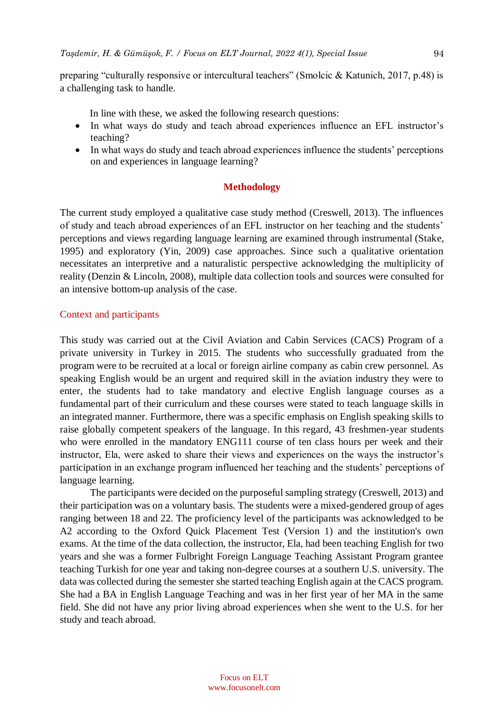preparing "culturally responsive or intercultural teachers" (Smolcic & Katunich, 2017, p.48) is a challenging task to handle.

In line with these, we asked the following research questions:

- In what ways do study and teach abroad experiences influence an EFL instructor's teaching?
- In what ways do study and teach abroad experiences influence the students' perceptions on and experiences in language learning?

## **Methodology**

The current study employed a qualitative case study method (Creswell, 2013). The influences of study and teach abroad experiences of an EFL instructor on her teaching and the students' perceptions and views regarding language learning are examined through instrumental (Stake, 1995) and exploratory (Yin, 2009) case approaches. Since such a qualitative orientation necessitates an interpretive and a naturalistic perspective acknowledging the multiplicity of reality (Denzin & Lincoln, 2008), multiple data collection tools and sources were consulted for an intensive bottom-up analysis of the case.

#### Context and participants

This study was carried out at the Civil Aviation and Cabin Services (CACS) Program of a private university in Turkey in 2015. The students who successfully graduated from the program were to be recruited at a local or foreign airline company as cabin crew personnel. As speaking English would be an urgent and required skill in the aviation industry they were to enter, the students had to take mandatory and elective English language courses as a fundamental part of their curriculum and these courses were stated to teach language skills in an integrated manner. Furthermore, there was a specific emphasis on English speaking skills to raise globally competent speakers of the language. In this regard, 43 freshmen-year students who were enrolled in the mandatory ENG111 course of ten class hours per week and their instructor, Ela, were asked to share their views and experiences on the ways the instructor's participation in an exchange program influenced her teaching and the students' perceptions of language learning.

The participants were decided on the purposeful sampling strategy (Creswell, 2013) and their participation was on a voluntary basis. The students were a mixed-gendered group of ages ranging between 18 and 22. The proficiency level of the participants was acknowledged to be A2 according to the Oxford Quick Placement Test (Version 1) and the institution's own exams. At the time of the data collection, the instructor, Ela, had been teaching English for two years and she was a former Fulbright Foreign Language Teaching Assistant Program grantee teaching Turkish for one year and taking non-degree courses at a southern U.S. university. The data was collected during the semester she started teaching English again at the CACS program. She had a BA in English Language Teaching and was in her first year of her MA in the same field. She did not have any prior living abroad experiences when she went to the U.S. for her study and teach abroad.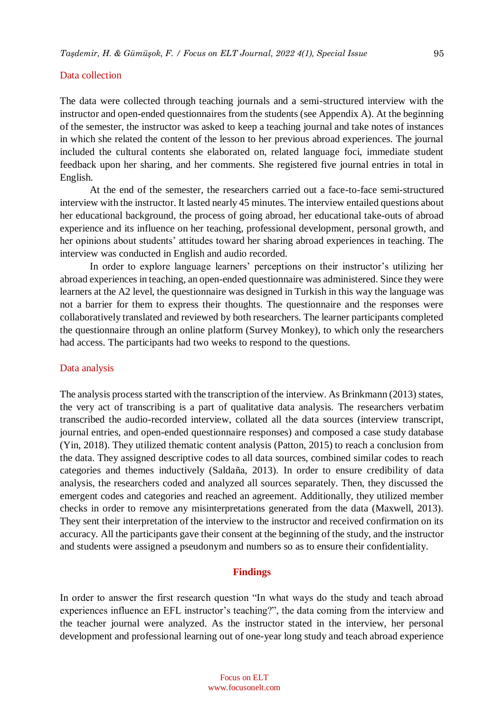#### Data collection

The data were collected through teaching journals and a semi-structured interview with the instructor and open-ended questionnaires from the students (see Appendix A). At the beginning of the semester, the instructor was asked to keep a teaching journal and take notes of instances in which she related the content of the lesson to her previous abroad experiences. The journal included the cultural contents she elaborated on, related language foci, immediate student feedback upon her sharing, and her comments. She registered five journal entries in total in English.

At the end of the semester, the researchers carried out a face-to-face semi-structured interview with the instructor. It lasted nearly 45 minutes. The interview entailed questions about her educational background, the process of going abroad, her educational take-outs of abroad experience and its influence on her teaching, professional development, personal growth, and her opinions about students' attitudes toward her sharing abroad experiences in teaching. The interview was conducted in English and audio recorded.

In order to explore language learners' perceptions on their instructor's utilizing her abroad experiences in teaching, an open-ended questionnaire was administered. Since they were learners at the A2 level, the questionnaire was designed in Turkish in this way the language was not a barrier for them to express their thoughts. The questionnaire and the responses were collaboratively translated and reviewed by both researchers. The learner participants completed the questionnaire through an online platform (Survey Monkey), to which only the researchers had access. The participants had two weeks to respond to the questions.

#### Data analysis

The analysis process started with the transcription of the interview. As Brinkmann (2013) states, the very act of transcribing is a part of qualitative data analysis. The researchers verbatim transcribed the audio-recorded interview, collated all the data sources (interview transcript, journal entries, and open-ended questionnaire responses) and composed a case study database (Yin, 2018). They utilized thematic content analysis (Patton, 2015) to reach a conclusion from the data. They assigned descriptive codes to all data sources, combined similar codes to reach categories and themes inductively (Saldaña, 2013). In order to ensure credibility of data analysis, the researchers coded and analyzed all sources separately. Then, they discussed the emergent codes and categories and reached an agreement. Additionally, they utilized member checks in order to remove any misinterpretations generated from the data (Maxwell, 2013). They sent their interpretation of the interview to the instructor and received confirmation on its accuracy. All the participants gave their consent at the beginning of the study, and the instructor and students were assigned a pseudonym and numbers so as to ensure their confidentiality.

#### **Findings**

In order to answer the first research question "In what ways do the study and teach abroad experiences influence an EFL instructor's teaching?", the data coming from the interview and the teacher journal were analyzed. As the instructor stated in the interview, her personal development and professional learning out of one-year long study and teach abroad experience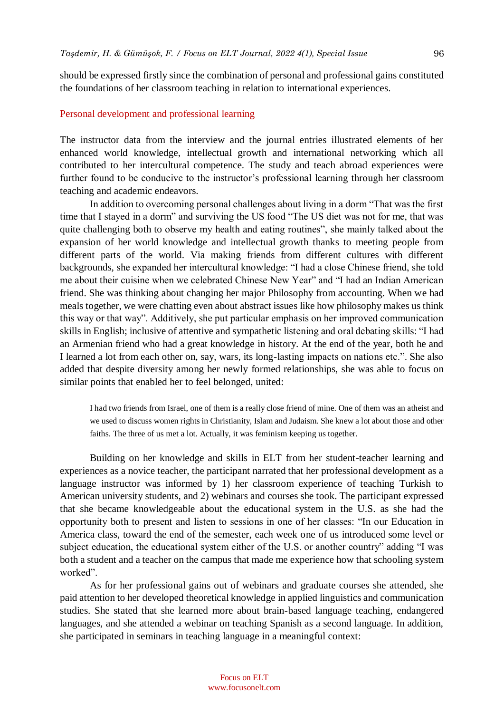should be expressed firstly since the combination of personal and professional gains constituted the foundations of her classroom teaching in relation to international experiences.

#### Personal development and professional learning

The instructor data from the interview and the journal entries illustrated elements of her enhanced world knowledge, intellectual growth and international networking which all contributed to her intercultural competence. The study and teach abroad experiences were further found to be conducive to the instructor's professional learning through her classroom teaching and academic endeavors.

In addition to overcoming personal challenges about living in a dorm "That was the first time that I stayed in a dorm" and surviving the US food "The US diet was not for me, that was quite challenging both to observe my health and eating routines", she mainly talked about the expansion of her world knowledge and intellectual growth thanks to meeting people from different parts of the world. Via making friends from different cultures with different backgrounds, she expanded her intercultural knowledge: "I had a close Chinese friend, she told me about their cuisine when we celebrated Chinese New Year" and "I had an Indian American friend. She was thinking about changing her major Philosophy from accounting. When we had meals together, we were chatting even about abstract issues like how philosophy makes us think this way or that way". Additively, she put particular emphasis on her improved communication skills in English; inclusive of attentive and sympathetic listening and oral debating skills: "I had an Armenian friend who had a great knowledge in history. At the end of the year, both he and I learned a lot from each other on, say, wars, its long-lasting impacts on nations etc.". She also added that despite diversity among her newly formed relationships, she was able to focus on similar points that enabled her to feel belonged, united:

I had two friends from Israel, one of them is a really close friend of mine. One of them was an atheist and we used to discuss women rights in Christianity, Islam and Judaism. She knew a lot about those and other faiths. The three of us met a lot. Actually, it was feminism keeping us together.

Building on her knowledge and skills in ELT from her student-teacher learning and experiences as a novice teacher, the participant narrated that her professional development as a language instructor was informed by 1) her classroom experience of teaching Turkish to American university students, and 2) webinars and courses she took. The participant expressed that she became knowledgeable about the educational system in the U.S. as she had the opportunity both to present and listen to sessions in one of her classes: "In our Education in America class, toward the end of the semester, each week one of us introduced some level or subject education, the educational system either of the U.S. or another country" adding "I was both a student and a teacher on the campus that made me experience how that schooling system worked".

As for her professional gains out of webinars and graduate courses she attended, she paid attention to her developed theoretical knowledge in applied linguistics and communication studies. She stated that she learned more about brain-based language teaching, endangered languages, and she attended a webinar on teaching Spanish as a second language. In addition, she participated in seminars in teaching language in a meaningful context: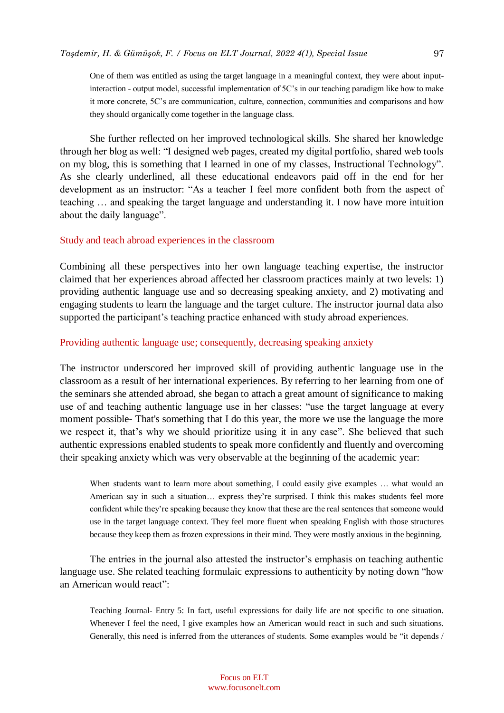One of them was entitled as using the target language in a meaningful context, they were about inputinteraction - output model, successful implementation of 5C's in our teaching paradigm like how to make it more concrete, 5C's are communication, culture, connection, communities and comparisons and how they should organically come together in the language class.

She further reflected on her improved technological skills. She shared her knowledge through her blog as well: "I designed web pages, created my digital portfolio, shared web tools on my blog, this is something that I learned in one of my classes, Instructional Technology". As she clearly underlined, all these educational endeavors paid off in the end for her development as an instructor: "As a teacher I feel more confident both from the aspect of teaching … and speaking the target language and understanding it. I now have more intuition about the daily language".

#### Study and teach abroad experiences in the classroom

Combining all these perspectives into her own language teaching expertise, the instructor claimed that her experiences abroad affected her classroom practices mainly at two levels: 1) providing authentic language use and so decreasing speaking anxiety, and 2) motivating and engaging students to learn the language and the target culture. The instructor journal data also supported the participant's teaching practice enhanced with study abroad experiences.

#### Providing authentic language use; consequently, decreasing speaking anxiety

The instructor underscored her improved skill of providing authentic language use in the classroom as a result of her international experiences. By referring to her learning from one of the seminars she attended abroad, she began to attach a great amount of significance to making use of and teaching authentic language use in her classes: "use the target language at every moment possible- That's something that I do this year, the more we use the language the more we respect it, that's why we should prioritize using it in any case". She believed that such authentic expressions enabled students to speak more confidently and fluently and overcoming their speaking anxiety which was very observable at the beginning of the academic year:

When students want to learn more about something, I could easily give examples ... what would an American say in such a situation… express they're surprised. I think this makes students feel more confident while they're speaking because they know that these are the real sentences that someone would use in the target language context. They feel more fluent when speaking English with those structures because they keep them as frozen expressions in their mind. They were mostly anxious in the beginning.

The entries in the journal also attested the instructor's emphasis on teaching authentic language use. She related teaching formulaic expressions to authenticity by noting down "how an American would react":

Teaching Journal- Entry 5: In fact, useful expressions for daily life are not specific to one situation. Whenever I feel the need, I give examples how an American would react in such and such situations. Generally, this need is inferred from the utterances of students. Some examples would be "it depends /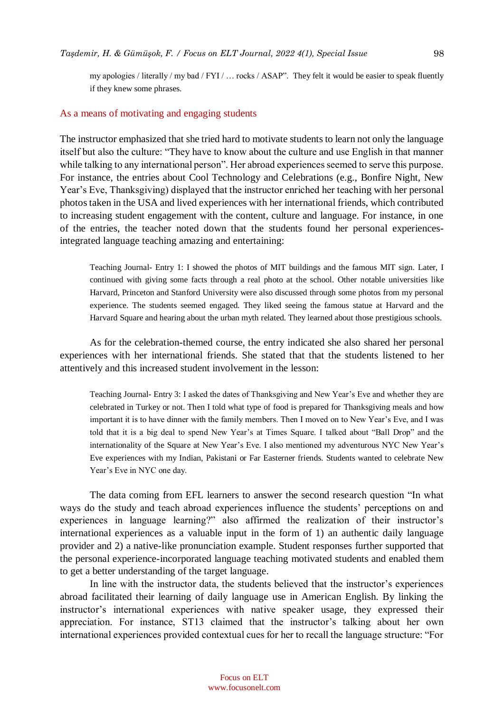my apologies / literally / my bad / FYI / … rocks / ASAP". They felt it would be easier to speak fluently if they knew some phrases.

#### As a means of motivating and engaging students

The instructor emphasized that she tried hard to motivate students to learn not only the language itself but also the culture: "They have to know about the culture and use English in that manner while talking to any international person". Her abroad experiences seemed to serve this purpose. For instance, the entries about Cool Technology and Celebrations (e.g., Bonfire Night, New Year's Eve, Thanksgiving) displayed that the instructor enriched her teaching with her personal photos taken in the USA and lived experiences with her international friends, which contributed to increasing student engagement with the content, culture and language. For instance, in one of the entries, the teacher noted down that the students found her personal experiencesintegrated language teaching amazing and entertaining:

Teaching Journal- Entry 1: I showed the photos of MIT buildings and the famous MIT sign. Later, I continued with giving some facts through a real photo at the school. Other notable universities like Harvard, Princeton and Stanford University were also discussed through some photos from my personal experience. The students seemed engaged. They liked seeing the famous statue at Harvard and the Harvard Square and hearing about the urban myth related. They learned about those prestigious schools.

As for the celebration-themed course, the entry indicated she also shared her personal experiences with her international friends. She stated that that the students listened to her attentively and this increased student involvement in the lesson:

Teaching Journal- Entry 3: I asked the dates of Thanksgiving and New Year's Eve and whether they are celebrated in Turkey or not. Then I told what type of food is prepared for Thanksgiving meals and how important it is to have dinner with the family members. Then I moved on to New Year's Eve, and I was told that it is a big deal to spend New Year's at Times Square. I talked about "Ball Drop" and the internationality of the Square at New Year's Eve. I also mentioned my adventurous NYC New Year's Eve experiences with my Indian, Pakistani or Far Easterner friends. Students wanted to celebrate New Year's Eve in NYC one day.

The data coming from EFL learners to answer the second research question "In what ways do the study and teach abroad experiences influence the students' perceptions on and experiences in language learning?" also affirmed the realization of their instructor's international experiences as a valuable input in the form of 1) an authentic daily language provider and 2) a native-like pronunciation example. Student responses further supported that the personal experience-incorporated language teaching motivated students and enabled them to get a better understanding of the target language.

In line with the instructor data, the students believed that the instructor's experiences abroad facilitated their learning of daily language use in American English. By linking the instructor's international experiences with native speaker usage, they expressed their appreciation. For instance, ST13 claimed that the instructor's talking about her own international experiences provided contextual cues for her to recall the language structure: "For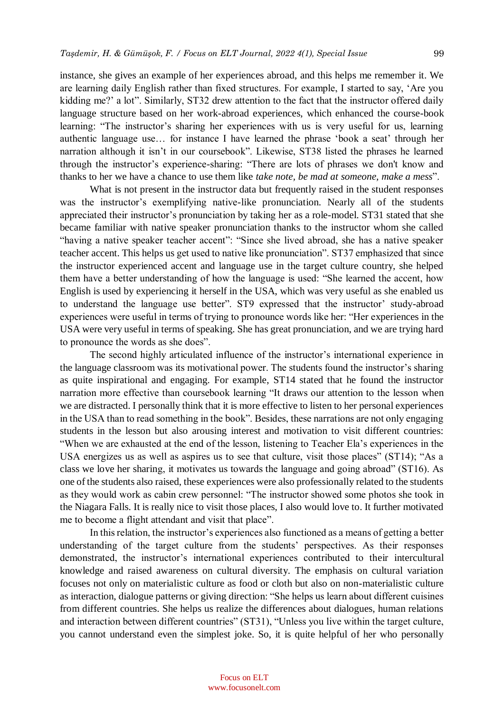instance, she gives an example of her experiences abroad, and this helps me remember it. We are learning daily English rather than fixed structures. For example, I started to say, 'Are you kidding me?' a lot". Similarly, ST32 drew attention to the fact that the instructor offered daily language structure based on her work-abroad experiences, which enhanced the course-book learning: "The instructor's sharing her experiences with us is very useful for us, learning authentic language use… for instance I have learned the phrase 'book a seat' through her narration although it isn't in our coursebook". Likewise, ST38 listed the phrases he learned through the instructor's experience-sharing: "There are lots of phrases we don't know and thanks to her we have a chance to use them like *take note, be mad at someone, make a mess*".

What is not present in the instructor data but frequently raised in the student responses was the instructor's exemplifying native-like pronunciation. Nearly all of the students appreciated their instructor's pronunciation by taking her as a role-model. ST31 stated that she became familiar with native speaker pronunciation thanks to the instructor whom she called "having a native speaker teacher accent": "Since she lived abroad, she has a native speaker teacher accent. This helps us get used to native like pronunciation". ST37 emphasized that since the instructor experienced accent and language use in the target culture country, she helped them have a better understanding of how the language is used: "She learned the accent, how English is used by experiencing it herself in the USA, which was very useful as she enabled us to understand the language use better". ST9 expressed that the instructor' study-abroad experiences were useful in terms of trying to pronounce words like her: "Her experiences in the USA were very useful in terms of speaking. She has great pronunciation, and we are trying hard to pronounce the words as she does".

The second highly articulated influence of the instructor's international experience in the language classroom was its motivational power. The students found the instructor's sharing as quite inspirational and engaging. For example, ST14 stated that he found the instructor narration more effective than coursebook learning "It draws our attention to the lesson when we are distracted. I personally think that it is more effective to listen to her personal experiences in the USA than to read something in the book". Besides, these narrations are not only engaging students in the lesson but also arousing interest and motivation to visit different countries: "When we are exhausted at the end of the lesson, listening to Teacher Ela's experiences in the USA energizes us as well as aspires us to see that culture, visit those places" (ST14); "As a class we love her sharing, it motivates us towards the language and going abroad" (ST16). As one of the students also raised, these experiences were also professionally related to the students as they would work as cabin crew personnel: "The instructor showed some photos she took in the Niagara Falls. It is really nice to visit those places, I also would love to. It further motivated me to become a flight attendant and visit that place".

In this relation, the instructor's experiences also functioned as a means of getting a better understanding of the target culture from the students' perspectives. As their responses demonstrated, the instructor's international experiences contributed to their intercultural knowledge and raised awareness on cultural diversity. The emphasis on cultural variation focuses not only on materialistic culture as food or cloth but also on non-materialistic culture as interaction, dialogue patterns or giving direction: "She helps us learn about different cuisines from different countries. She helps us realize the differences about dialogues, human relations and interaction between different countries" (ST31), "Unless you live within the target culture, you cannot understand even the simplest joke. So, it is quite helpful of her who personally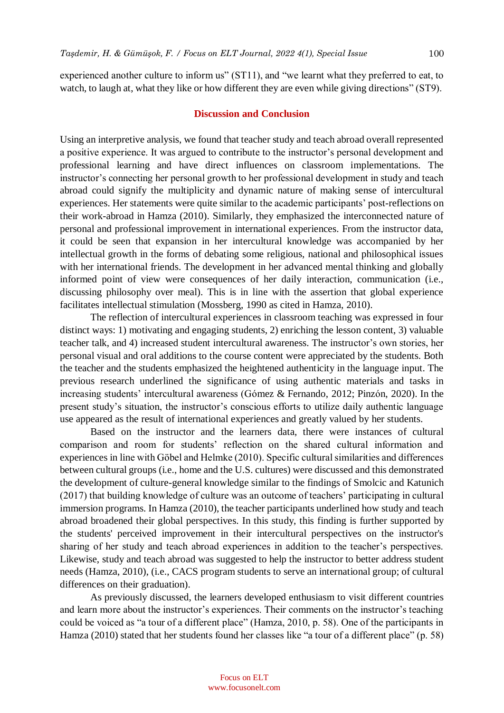experienced another culture to inform us" (ST11), and "we learnt what they preferred to eat, to watch, to laugh at, what they like or how different they are even while giving directions" (ST9).

#### **Discussion and Conclusion**

Using an interpretive analysis, we found that teacher study and teach abroad overall represented a positive experience. It was argued to contribute to the instructor's personal development and professional learning and have direct influences on classroom implementations. The instructor's connecting her personal growth to her professional development in study and teach abroad could signify the multiplicity and dynamic nature of making sense of intercultural experiences. Her statements were quite similar to the academic participants' post-reflections on their work-abroad in Hamza (2010). Similarly, they emphasized the interconnected nature of personal and professional improvement in international experiences. From the instructor data, it could be seen that expansion in her intercultural knowledge was accompanied by her intellectual growth in the forms of debating some religious, national and philosophical issues with her international friends. The development in her advanced mental thinking and globally informed point of view were consequences of her daily interaction, communication (i.e., discussing philosophy over meal). This is in line with the assertion that global experience facilitates intellectual stimulation (Mossberg, 1990 as cited in Hamza, 2010).

The reflection of intercultural experiences in classroom teaching was expressed in four distinct ways: 1) motivating and engaging students, 2) enriching the lesson content, 3) valuable teacher talk, and 4) increased student intercultural awareness. The instructor's own stories, her personal visual and oral additions to the course content were appreciated by the students. Both the teacher and the students emphasized the heightened authenticity in the language input. The previous research underlined the significance of using authentic materials and tasks in increasing students' intercultural awareness (Gómez & Fernando, 2012; Pinzón, 2020). In the present study's situation, the instructor's conscious efforts to utilize daily authentic language use appeared as the result of international experiences and greatly valued by her students.

Based on the instructor and the learners data, there were instances of cultural comparison and room for students' reflection on the shared cultural information and experiences in line with Göbel and Helmke (2010). Specific cultural similarities and differences between cultural groups (i.e., home and the U.S. cultures) were discussed and this demonstrated the development of culture-general knowledge similar to the findings of Smolcic and Katunich (2017) that building knowledge of culture was an outcome of teachers' participating in cultural immersion programs. In Hamza (2010), the teacher participants underlined how study and teach abroad broadened their global perspectives. In this study, this finding is further supported by the students' perceived improvement in their intercultural perspectives on the instructor's sharing of her study and teach abroad experiences in addition to the teacher's perspectives. Likewise, study and teach abroad was suggested to help the instructor to better address student needs (Hamza, 2010), (i.e., CACS program students to serve an international group; of cultural differences on their graduation).

As previously discussed, the learners developed enthusiasm to visit different countries and learn more about the instructor's experiences. Their comments on the instructor's teaching could be voiced as "a tour of a different place" (Hamza, 2010, p. 58). One of the participants in Hamza (2010) stated that her students found her classes like "a tour of a different place" (p. 58)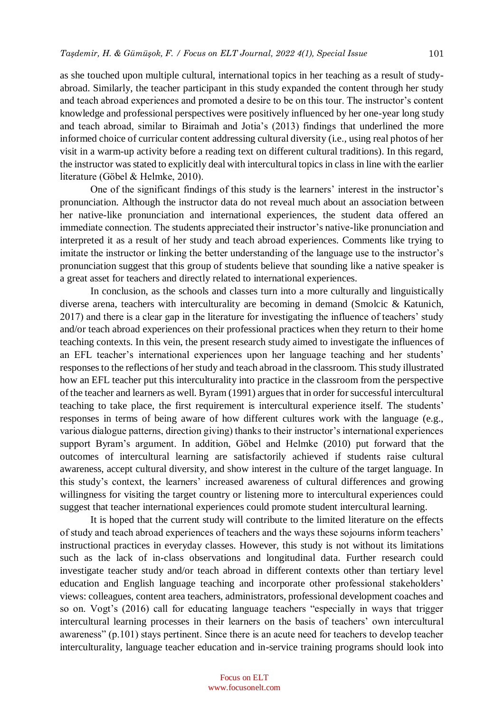as she touched upon multiple cultural, international topics in her teaching as a result of studyabroad. Similarly, the teacher participant in this study expanded the content through her study and teach abroad experiences and promoted a desire to be on this tour. The instructor's content knowledge and professional perspectives were positively influenced by her one-year long study and teach abroad, similar to Biraimah and Jotia's (2013) findings that underlined the more informed choice of curricular content addressing cultural diversity (i.e., using real photos of her visit in a warm-up activity before a reading text on different cultural traditions). In this regard, the instructor was stated to explicitly deal with intercultural topics in class in line with the earlier literature (Göbel & Helmke, 2010).

One of the significant findings of this study is the learners' interest in the instructor's pronunciation. Although the instructor data do not reveal much about an association between her native-like pronunciation and international experiences, the student data offered an immediate connection. The students appreciated their instructor's native-like pronunciation and interpreted it as a result of her study and teach abroad experiences. Comments like trying to imitate the instructor or linking the better understanding of the language use to the instructor's pronunciation suggest that this group of students believe that sounding like a native speaker is a great asset for teachers and directly related to international experiences.

In conclusion, as the schools and classes turn into a more culturally and linguistically diverse arena, teachers with interculturality are becoming in demand (Smolcic & Katunich, 2017) and there is a clear gap in the literature for investigating the influence of teachers' study and/or teach abroad experiences on their professional practices when they return to their home teaching contexts. In this vein, the present research study aimed to investigate the influences of an EFL teacher's international experiences upon her language teaching and her students' responses to the reflections of her study and teach abroad in the classroom. This study illustrated how an EFL teacher put this interculturality into practice in the classroom from the perspective of the teacher and learners as well. Byram (1991) argues that in order for successful intercultural teaching to take place, the first requirement is intercultural experience itself. The students' responses in terms of being aware of how different cultures work with the language (e.g., various dialogue patterns, direction giving) thanks to their instructor's international experiences support Byram's argument. In addition, Göbel and Helmke (2010) put forward that the outcomes of intercultural learning are satisfactorily achieved if students raise cultural awareness, accept cultural diversity, and show interest in the culture of the target language. In this study's context, the learners' increased awareness of cultural differences and growing willingness for visiting the target country or listening more to intercultural experiences could suggest that teacher international experiences could promote student intercultural learning.

It is hoped that the current study will contribute to the limited literature on the effects of study and teach abroad experiences of teachers and the ways these sojourns inform teachers' instructional practices in everyday classes. However, this study is not without its limitations such as the lack of in-class observations and longitudinal data. Further research could investigate teacher study and/or teach abroad in different contexts other than tertiary level education and English language teaching and incorporate other professional stakeholders' views: colleagues, content area teachers, administrators, professional development coaches and so on. Vogt's (2016) call for educating language teachers "especially in ways that trigger intercultural learning processes in their learners on the basis of teachers' own intercultural awareness" (p.101) stays pertinent. Since there is an acute need for teachers to develop teacher interculturality, language teacher education and in-service training programs should look into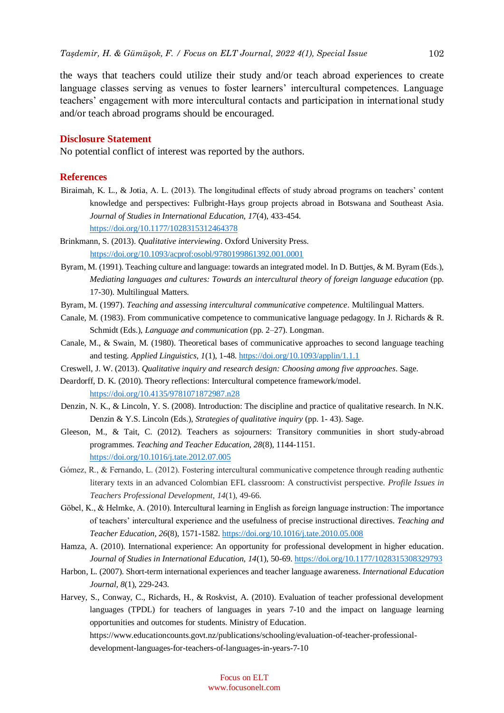the ways that teachers could utilize their study and/or teach abroad experiences to create language classes serving as venues to foster learners' intercultural competences. Language teachers' engagement with more intercultural contacts and participation in international study and/or teach abroad programs should be encouraged.

#### **Disclosure Statement**

No potential conflict of interest was reported by the authors.

#### **References**

- Biraimah, K. L., & Jotia, A. L. (2013). The longitudinal effects of study abroad programs on teachers' content knowledge and perspectives: Fulbright-Hays group projects abroad in Botswana and Southeast Asia. *Journal of Studies in International Education, 17*(4), 433-454. <https://doi.org/10.1177/1028315312464378>
- Brinkmann, S. (2013). *Qualitative interviewing*. Oxford University Press. <https://doi.org/10.1093/acprof:osobl/9780199861392.001.0001>
- Byram, M. (1991). Teaching culture and language: towards an integrated model. In D. Buttjes, & M. Byram (Eds.), *Mediating languages and cultures: Towards an intercultural theory of foreign language education* (pp. 17-30). Multilingual Matters.
- Byram, M. (1997). *Teaching and assessing intercultural communicative competence*. Multilingual Matters.
- Canale, M. (1983). From communicative competence to communicative language pedagogy. In J. Richards & R. Schmidt (Eds.), *Language and communication* (pp. 2–27). Longman.
- Canale, M., & Swain, M. (1980). Theoretical bases of communicative approaches to second language teaching and testing. *Applied Linguistics, 1*(1), 1-48.<https://doi.org/10.1093/applin/1.1.1>
- Creswell, J. W. (2013). *Qualitative inquiry and research design: Choosing among five approaches*. Sage.
- Deardorff, D. K. (2010). Theory reflections: Intercultural competence framework/model. <https://doi.org/10.4135/9781071872987.n28>
- Denzin, N. K., & Lincoln, Y. S. (2008). Introduction: The discipline and practice of qualitative research. In N.K. Denzin & Y.S. Lincoln (Eds.), *Strategies of qualitative inquiry* (pp. 1- 43). Sage.
- Gleeson, M., & Tait, C. (2012). Teachers as sojourners: Transitory communities in short study-abroad programmes. *Teaching and Teacher Education, 28*(8), 1144-1151. <https://doi.org/10.1016/j.tate.2012.07.005>
- Gómez, R., & Fernando, L. (2012). Fostering intercultural communicative competence through reading authentic literary texts in an advanced Colombian EFL classroom: A constructivist perspective. *Profile Issues in Teachers Professional Development*, *14*(1), 49-66.
- Göbel, K., & Helmke, A. (2010). Intercultural learning in English as foreign language instruction: The importance of teachers' intercultural experience and the usefulness of precise instructional directives. *Teaching and Teacher Education, 26*(8), 1571-1582[. https://doi.org/10.1016/j.tate.2010.05.008](https://doi.org/10.1016/j.tate.2010.05.008)
- Hamza, A. (2010). International experience: An opportunity for professional development in higher education. *Journal of Studies in International Education, 14*(1), 50-69.<https://doi.org/10.1177/1028315308329793>
- Harbon, L. (2007). Short-term international experiences and teacher language awareness. *International Education Journal, 8*(1), 229-243.
- Harvey, S., Conway, C., Richards, H., & Roskvist, A. (2010). Evaluation of teacher professional development languages (TPDL) for teachers of languages in years 7-10 and the impact on language learning opportunities and outcomes for students. Ministry of Education.

https://www.educationcounts.govt.nz/publications/schooling/evaluation-of-teacher-professional-

development-languages-for-teachers-of-languages-in-years-7-10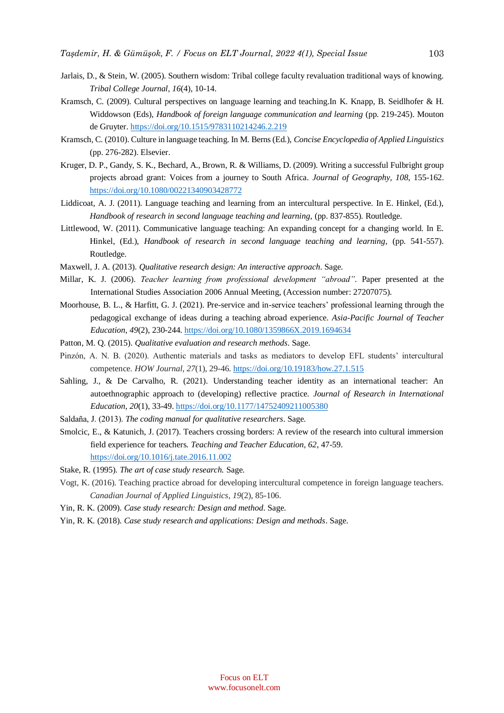- Jarlais, D., & Stein, W. (2005). Southern wisdom: Tribal college faculty revaluation traditional ways of knowing. *Tribal College Journal, 16*(4), 10-14.
- Kramsch, C. (2009). Cultural perspectives on language learning and teaching.In K. Knapp, B. Seidlhofer & H. Widdowson (Eds), *Handbook of foreign language communication and learning* (pp. 219-245). Mouton de Gruyter. <https://doi.org/10.1515/9783110214246.2.219>
- Kramsch, C. (2010). Culture in language teaching. In M. Berns (Ed.), *Concise Encyclopedia of Applied Linguistics* (pp. 276-282). Elsevier.
- Kruger, D. P., Gandy, S. K., Bechard, A., Brown, R. & Williams, D. (2009). Writing a successful Fulbright group projects abroad grant: Voices from a journey to South Africa. *Journal of Geography, 108*, 155-162. <https://doi.org/10.1080/00221340903428772>
- Liddicoat, A. J. (2011). Language teaching and learning from an intercultural perspective. In E. Hinkel, (Ed.), *Handbook of research in second language teaching and learning*, (pp. 837-855). Routledge.
- Littlewood, W. (2011). Communicative language teaching: An expanding concept for a changing world. In E. Hinkel, (Ed.), *Handbook of research in second language teaching and learning*, (pp. 541-557). Routledge.
- Maxwell, J. A. (2013). *Qualitative research design: An interactive approach*. Sage.
- Millar, K. J. (2006). *Teacher learning from professional development "abroad"*. Paper presented at the International Studies Association 2006 Annual Meeting, (Accession number: 27207075).
- Moorhouse, B. L., & Harfitt, G. J. (2021). Pre-service and in-service teachers' professional learning through the pedagogical exchange of ideas during a teaching abroad experience. *Asia-Pacific Journal of Teacher Education, 49*(2), 230-244.<https://doi.org/10.1080/1359866X.2019.1694634>
- Patton, M. Q. (2015). *Qualitative evaluation and research methods*. Sage.
- Pinzón, A. N. B. (2020). Authentic materials and tasks as mediators to develop EFL students' intercultural competence. *HOW Journal*, *27*(1), 29-46. <https://doi.org/10.19183/how.27.1.515>
- Sahling, J., & De Carvalho, R. (2021). Understanding teacher identity as an international teacher: An autoethnographic approach to (developing) reflective practice. *Journal of Research in International Education, 20*(1), 33-49.<https://doi.org/10.1177/14752409211005380>
- Saldaña, J. (2013). *The coding manual for qualitative researchers*. Sage.
- Smolcic, E., & Katunich, J. (2017). Teachers crossing borders: A review of the research into cultural immersion field experience for teachers. *Teaching and Teacher Education, 62*, 47-59. <https://doi.org/10.1016/j.tate.2016.11.002>
- Stake, R. (1995). *The art of case study research.* Sage.
- Vogt, K. (2016). Teaching practice abroad for developing intercultural competence in foreign language teachers. *Canadian Journal of Applied Linguistics*, *19*(2), 85-106.
- Yin, R. K. (2009). *Case study research: Design and method*. Sage.
- Yin, R. K. (2018). *Case study research and applications: Design and methods*. Sage.